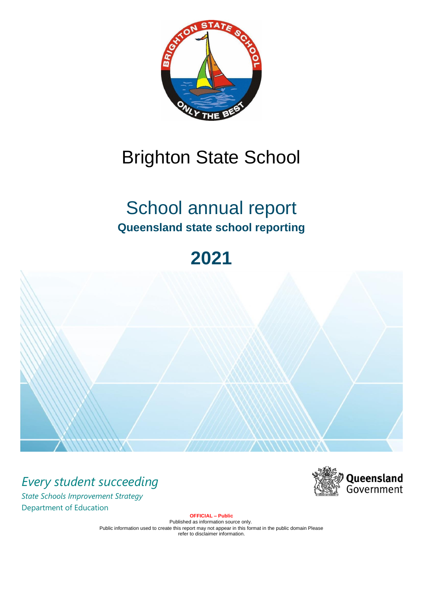

# Brighton State School

# School annual report **Queensland state school reporting**

# **2021**



*Every student succeeding State Schools Improvement Strategy* Department of Education



**OFFICIAL – Public**

Published as information source only. Public information used to create this report may not appear in this format in the public domain Please refer to disclaimer information.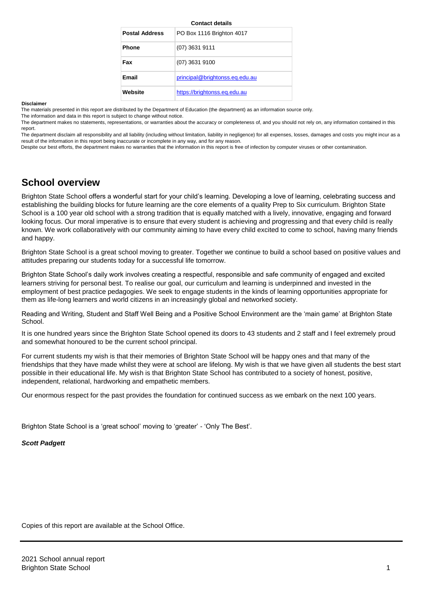|                       | oomaa acama                    |
|-----------------------|--------------------------------|
| <b>Postal Address</b> | PO Box 1116 Brighton 4017      |
| <b>Phone</b>          | $(07)$ 3631 9111               |
| Fax                   | $(07)$ 3631 9100               |
| Email                 | principal@brightonss.eq.edu.au |
| Website               | https://brightonss.eg.edu.au   |

**Contact details**

#### **Disclaimer**

The materials presented in this report are distributed by the Department of Education (the department) as an information source only.

The information and data in this report is subject to change without notice.

The department makes no statements, representations, or warranties about the accuracy or completeness of, and you should not rely on, any information contained in this report.

The department disclaim all responsibility and all liability (including without limitation, liability in negligence) for all expenses, losses, damages and costs you might incur as a result of the information in this report being inaccurate or incomplete in any way, and for any reason.

Despite our best efforts, the department makes no warranties that the information in this report is free of infection by computer viruses or other contamination.

# **School overview**

Brighton State School offers a wonderful start for your child's learning. Developing a love of learning, celebrating success and establishing the building blocks for future learning are the core elements of a quality Prep to Six curriculum. Brighton State School is a 100 year old school with a strong tradition that is equally matched with a lively, innovative, engaging and forward looking focus. Our moral imperative is to ensure that every student is achieving and progressing and that every child is really known. We work collaboratively with our community aiming to have every child excited to come to school, having many friends and happy.

Brighton State School is a great school moving to greater. Together we continue to build a school based on positive values and attitudes preparing our students today for a successful life tomorrow.

Brighton State School's daily work involves creating a respectful, responsible and safe community of engaged and excited learners striving for personal best. To realise our goal, our curriculum and learning is underpinned and invested in the employment of best practice pedagogies. We seek to engage students in the kinds of learning opportunities appropriate for them as life-long learners and world citizens in an increasingly global and networked society.

Reading and Writing, Student and Staff Well Being and a Positive School Environment are the 'main game' at Brighton State School.

It is one hundred years since the Brighton State School opened its doors to 43 students and 2 staff and I feel extremely proud and somewhat honoured to be the current school principal.

For current students my wish is that their memories of Brighton State School will be happy ones and that many of the friendships that they have made whilst they were at school are lifelong. My wish is that we have given all students the best start possible in their educational life. My wish is that Brighton State School has contributed to a society of honest, positive, independent, relational, hardworking and empathetic members.

Our enormous respect for the past provides the foundation for continued success as we embark on the next 100 years.

Brighton State School is a 'great school' moving to 'greater' - 'Only The Best'.

#### *Scott Padgett*

Copies of this report are available at the School Office.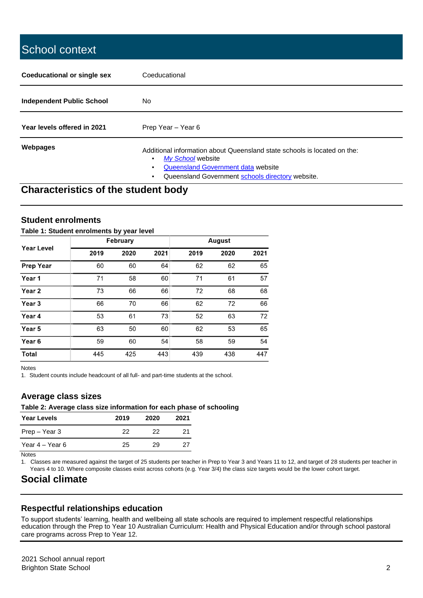# School context **Coeducational or single sex** Coeducational **Independent Public School** No Year levels offered in 2021 Prep Year – Year 6 **Webpages** Mebpages Additional information about Queensland state schools is located on the: • *[My School](http://www.myschool.edu.au/)* [w](http://www.myschool.edu.au/)ebsite • [Queensland Government data](http://data.qld.gov.au/) website • Queensland Government [schools directory](https://schoolsdirectory.eq.edu.au/) website.

# **Characteristics of the student body**

# **Student enrolments**

#### **Table 1: Student enrolments by year level**

|                   |      | February |      |      | August |      |
|-------------------|------|----------|------|------|--------|------|
| <b>Year Level</b> | 2019 | 2020     | 2021 | 2019 | 2020   | 2021 |
| <b>Prep Year</b>  | 60   | 60       | 64   | 62   | 62     | 65   |
| Year 1            | 71   | 58       | 60   | 71   | 61     | 57   |
| Year 2            | 73   | 66       | 66   | 72   | 68     | 68   |
| Year 3            | 66   | 70       | 66   | 62   | 72     | 66   |
| Year 4            | 53   | 61       | 73   | 52   | 63     | 72   |
| Year 5            | 63   | 50       | 60   | 62   | 53     | 65   |
| Year <sub>6</sub> | 59   | 60       | 54   | 58   | 59     | 54   |
| <b>Total</b>      | 445  | 425      | 443  | 439  | 438    | 447  |

Notes

1. Student counts include headcount of all full- and part-time students at the school.

## **Average class sizes**

#### **Table 2: Average class size information for each phase of schooling**

| <b>Year Levels</b> | 2019 | 2020 | 2021 |
|--------------------|------|------|------|
| Prep – Year 3      | つつ   | 22   | 21   |
| Year 4 – Year 6    | 25   | 29   | 27   |

**Notes** 

1. Classes are measured against the target of 25 students per teacher in Prep to Year 3 and Years 11 to 12, and target of 28 students per teacher in Years 4 to 10. Where composite classes exist across cohorts (e.g. Year 3/4) the class size targets would be the lower cohort target.

# **Social climate**

## **Respectful relationships education**

To support students' learning, health and wellbeing all state schools are required to implement respectful relationships education through the Prep to Year 10 Australian Curriculum: Health and Physical Education and/or through school pastoral care programs across Prep to Year 12.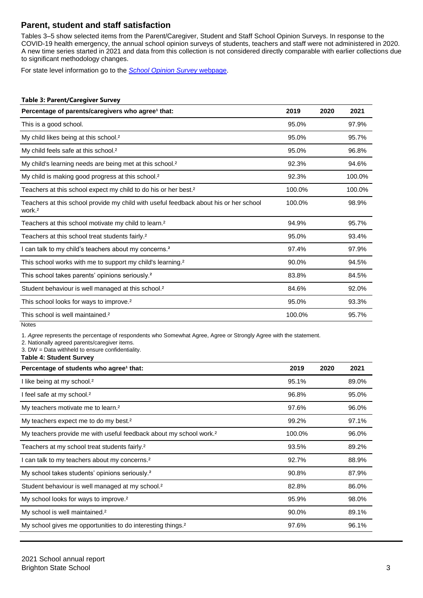# **Parent, student and staff satisfaction**

Tables 3–5 show selected items from the Parent/Caregiver, Student and Staff School Opinion Surveys. In response to the COVID-19 health emergency, the annual school opinion surveys of students, teachers and staff were not administered in 2020. A new time series started in 2021 and data from this collection is not considered directly comparable with earlier collections due to significant methodology changes.

For state level information go to the *[School Opinion Survey](https://qed.qld.gov.au/publications/reports/statistics/schooling/schools/schoolopinionsurvey)* [webpage.](https://qed.qld.gov.au/publications/reports/statistics/schooling/schools/schoolopinionsurvey)

#### **Table 3: Parent/Caregiver Survey**

| Percentage of parents/caregivers who agree <sup>1</sup> that:                                               | 2019   | 2020 | 2021   |
|-------------------------------------------------------------------------------------------------------------|--------|------|--------|
| This is a good school.                                                                                      | 95.0%  |      | 97.9%  |
| My child likes being at this school. <sup>2</sup>                                                           | 95.0%  |      | 95.7%  |
| My child feels safe at this school. <sup>2</sup>                                                            | 95.0%  |      | 96.8%  |
| My child's learning needs are being met at this school. <sup>2</sup>                                        | 92.3%  |      | 94.6%  |
| My child is making good progress at this school. <sup>2</sup>                                               | 92.3%  |      | 100.0% |
| Teachers at this school expect my child to do his or her best. <sup>2</sup>                                 | 100.0% |      | 100.0% |
| Teachers at this school provide my child with useful feedback about his or her school<br>work. <sup>2</sup> | 100.0% |      | 98.9%  |
| Teachers at this school motivate my child to learn. <sup>2</sup>                                            | 94.9%  |      | 95.7%  |
| Teachers at this school treat students fairly. <sup>2</sup>                                                 | 95.0%  |      | 93.4%  |
| I can talk to my child's teachers about my concerns. <sup>2</sup>                                           | 97.4%  |      | 97.9%  |
| This school works with me to support my child's learning. <sup>2</sup>                                      | 90.0%  |      | 94.5%  |
| This school takes parents' opinions seriously. <sup>2</sup>                                                 | 83.8%  |      | 84.5%  |
| Student behaviour is well managed at this school. <sup>2</sup>                                              | 84.6%  |      | 92.0%  |
| This school looks for ways to improve. <sup>2</sup>                                                         | 95.0%  |      | 93.3%  |
| This school is well maintained. <sup>2</sup>                                                                | 100.0% |      | 95.7%  |
| <b>Notes</b>                                                                                                |        |      |        |

1. *Agree* represents the percentage of respondents who Somewhat Agree, Agree or Strongly Agree with the statement.

2. Nationally agreed parents/caregiver items.

3. DW = Data withheld to ensure confidentiality.

**Table 4: Student Survey**

| Percentage of students who agree <sup>1</sup> that:                            | 2019   | 2020 | 2021  |
|--------------------------------------------------------------------------------|--------|------|-------|
| I like being at my school. <sup>2</sup>                                        | 95.1%  |      | 89.0% |
| I feel safe at my school. <sup>2</sup>                                         | 96.8%  |      | 95.0% |
| My teachers motivate me to learn. <sup>2</sup>                                 | 97.6%  |      | 96.0% |
| My teachers expect me to do my best. <sup>2</sup>                              | 99.2%  |      | 97.1% |
| My teachers provide me with useful feedback about my school work. <sup>2</sup> | 100.0% |      | 96.0% |
| Teachers at my school treat students fairly. <sup>2</sup>                      | 93.5%  |      | 89.2% |
| I can talk to my teachers about my concerns. <sup>2</sup>                      | 92.7%  |      | 88.9% |
| My school takes students' opinions seriously. <sup>2</sup>                     | 90.8%  |      | 87.9% |
| Student behaviour is well managed at my school. <sup>2</sup>                   | 82.8%  |      | 86.0% |
| My school looks for ways to improve. <sup>2</sup>                              | 95.9%  |      | 98.0% |
| My school is well maintained. <sup>2</sup>                                     | 90.0%  |      | 89.1% |
| My school gives me opportunities to do interesting things. <sup>2</sup>        | 97.6%  |      | 96.1% |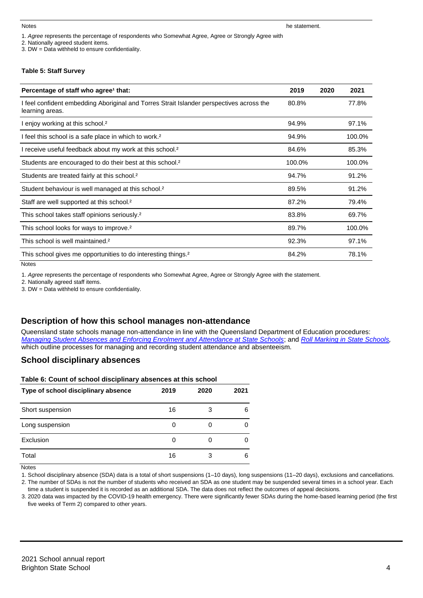1. *Agree* represents the percentage of respondents who Somewhat Agree, Agree or Strongly Agree with

2. Nationally agreed student items.

3. DW = Data withheld to ensure confidentiality.

#### **Table 5: Staff Survey**

| Percentage of staff who agree <sup>1</sup> that:                                                            | 2019   | 2020 | 2021   |
|-------------------------------------------------------------------------------------------------------------|--------|------|--------|
| I feel confident embedding Aboriginal and Torres Strait Islander perspectives across the<br>learning areas. | 80.8%  |      | 77.8%  |
| I enjoy working at this school. <sup>2</sup>                                                                | 94.9%  |      | 97.1%  |
| I feel this school is a safe place in which to work. <sup>2</sup>                                           | 94.9%  |      | 100.0% |
| I receive useful feedback about my work at this school. <sup>2</sup>                                        | 84.6%  |      | 85.3%  |
| Students are encouraged to do their best at this school. <sup>2</sup>                                       | 100.0% |      | 100.0% |
| Students are treated fairly at this school. <sup>2</sup>                                                    | 94.7%  |      | 91.2%  |
| Student behaviour is well managed at this school. <sup>2</sup>                                              | 89.5%  |      | 91.2%  |
| Staff are well supported at this school. <sup>2</sup>                                                       | 87.2%  |      | 79.4%  |
| This school takes staff opinions seriously. <sup>2</sup>                                                    | 83.8%  |      | 69.7%  |
| This school looks for ways to improve. <sup>2</sup>                                                         | 89.7%  |      | 100.0% |
| This school is well maintained. <sup>2</sup>                                                                | 92.3%  |      | 97.1%  |
| This school gives me opportunities to do interesting things. <sup>2</sup>                                   | 84.2%  |      | 78.1%  |

Notes

1. *Agree* represents the percentage of respondents who Somewhat Agree, Agree or Strongly Agree with the statement.

2. Nationally agreed staff items.

3. DW = Data withheld to ensure confidentiality.

## **Description of how this school manages non-attendance**

Queensland state schools manage non-attendance in line with the Queensland Department of Education procedures: *[Managing Student Absences and Enforcing Enrolment and Attendance at State Schools](https://ppr.qed.qld.gov.au/pp/managing-student-absences-and-enforcing-enrolment-and-attendance-at-state-schools-procedure)*; and *[Roll Marking in State Schools,](https://ppr.qed.qld.gov.au/pp/roll-marking-in-state-schools-procedure)* which outline processes for managing and recording student attendance and absenteeism.

## **School disciplinary absences**

| Table 6: Count of school disciplinary absences at this school |      |      |      |  |  |  |
|---------------------------------------------------------------|------|------|------|--|--|--|
| Type of school disciplinary absence                           | 2019 | 2020 | 2021 |  |  |  |
| Short suspension                                              | 16   | 3    | 6    |  |  |  |
| Long suspension                                               | 0    |      | 0    |  |  |  |
| Exclusion                                                     | 0    |      | 0    |  |  |  |
| Total                                                         | 16   | 3    | 6    |  |  |  |

Notes

1. School disciplinary absence (SDA) data is a total of short suspensions (1–10 days), long suspensions (11–20 days), exclusions and cancellations.

2. The number of SDAs is not the number of students who received an SDA as one student may be suspended several times in a school year. Each time a student is suspended it is recorded as an additional SDA. The data does not reflect the outcomes of appeal decisions.

3. 2020 data was impacted by the COVID-19 health emergency. There were significantly fewer SDAs during the home-based learning period (the first five weeks of Term 2) compared to other years.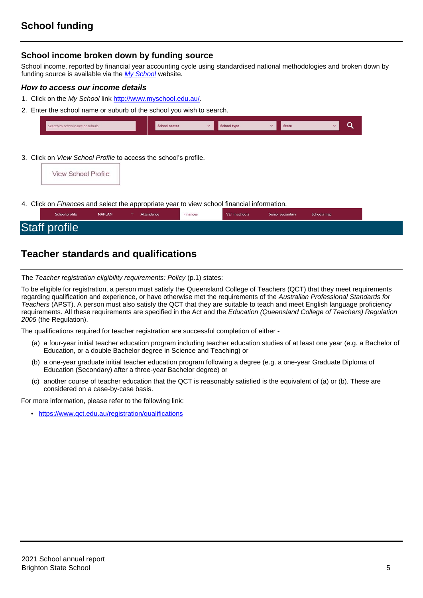## **School income broken down by funding source**

School income, reported by financial year accounting cycle using standardised national methodologies and broken down by funding source is available via the *[My School](http://www.myschool.edu.au/)* website.

#### *How to access our income details*

- 1. Click on the *My School* lin[k http://www.myschool.edu.au/.](http://www.myschool.edu.au/)
- 2. Enter the school name or suburb of the school you wish to search.





4. Click on *Finances* and select the appropriate year to view school financial information.

| School profile       | <b>NAPLAN</b> | Attendance | Finances | VET in schools | Senior secondary | Schools map |  |
|----------------------|---------------|------------|----------|----------------|------------------|-------------|--|
| <b>Staff profile</b> |               |            |          |                |                  |             |  |

# **Teacher standards and qualifications**

The *Teacher registration eligibility requirements: Policy* (p.1) states:

To be eligible for registration, a person must satisfy the Queensland College of Teachers (QCT) that they meet requirements regarding qualification and experience, or have otherwise met the requirements of the *Australian Professional Standards for Teachers* (APST). A person must also satisfy the QCT that they are suitable to teach and meet English language proficiency requirements. All these requirements are specified in the Act and the *Education (Queensland College of Teachers) Regulation 2005* (the Regulation).

The qualifications required for teacher registration are successful completion of either -

- (a) a four-year initial teacher education program including teacher education studies of at least one year (e.g. a Bachelor of Education, or a double Bachelor degree in Science and Teaching) or
- (b) a one-year graduate initial teacher education program following a degree (e.g. a one-year Graduate Diploma of Education (Secondary) after a three-year Bachelor degree) or
- (c) another course of teacher education that the QCT is reasonably satisfied is the equivalent of (a) or (b). These are considered on a case-by-case basis.

For more information, please refer to the following link:

• <https://www.qct.edu.au/registration/qualifications>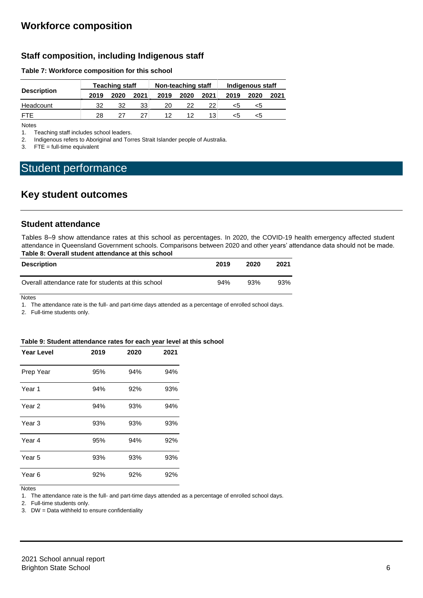# **Staff composition, including Indigenous staff**

### **Table 7: Workforce composition for this school**

|                    | <b>Teaching staff</b> |      |      | Non-teaching staff |      |                 | Indigenous staff |      |      |
|--------------------|-----------------------|------|------|--------------------|------|-----------------|------------------|------|------|
| <b>Description</b> | 2019                  | 2020 | 2021 | 2019               | 2020 | 2021            | 2019             | 2020 | 2021 |
| Headcount          | 32                    | 32   | 33   | 20                 | 22   | 22 <sub>1</sub> | ה>               |      |      |
| FTF                | 28                    | 27   | 27   | 12                 | 12   | 13              | <5               |      |      |

Notes

1. Teaching staff includes school leaders.

2. Indigenous refers to Aboriginal and Torres Strait Islander people of Australia.

3. FTE = full-time equivalent

# Student performance

# **Key student outcomes**

### **Student attendance**

Tables 8–9 show attendance rates at this school as percentages. In 2020, the COVID-19 health emergency affected student attendance in Queensland Government schools. Comparisons between 2020 and other years' attendance data should not be made. **Table 8: Overall student attendance at this school**

| <b>Description</b>                                  | 2019 | 2020 | 2021 |
|-----------------------------------------------------|------|------|------|
| Overall attendance rate for students at this school | 94%  | 93%  | 93%  |

**Notes** 

1. The attendance rate is the full- and part-time days attended as a percentage of enrolled school days.

2. Full-time students only.

#### **Table 9: Student attendance rates for each year level at this school**

| <b>Year Level</b> | 2019 | 2020 | 2021 |
|-------------------|------|------|------|
| Prep Year         | 95%  | 94%  | 94%  |
| Year <sub>1</sub> | 94%  | 92%  | 93%  |
| Year <sub>2</sub> | 94%  | 93%  | 94%  |
| Year <sub>3</sub> | 93%  | 93%  | 93%  |
| Year 4            | 95%  | 94%  | 92%  |
| Year 5            | 93%  | 93%  | 93%  |
| Year <sub>6</sub> | 92%  | 92%  | 92%  |

**Notes** 

1. The attendance rate is the full- and part-time days attended as a percentage of enrolled school days.

2. Full-time students only.

3. DW = Data withheld to ensure confidentiality